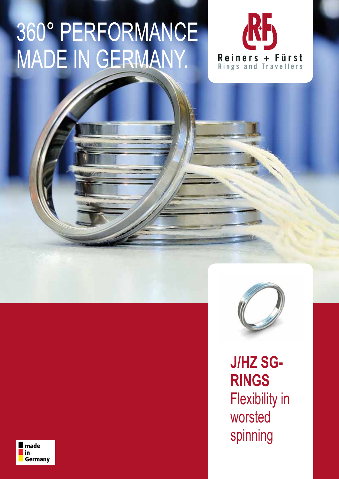## 360° PERFORMANCE MADE IN GERMANY.





**J/HZ SG-RINGS** Flexibility in worsted spinning